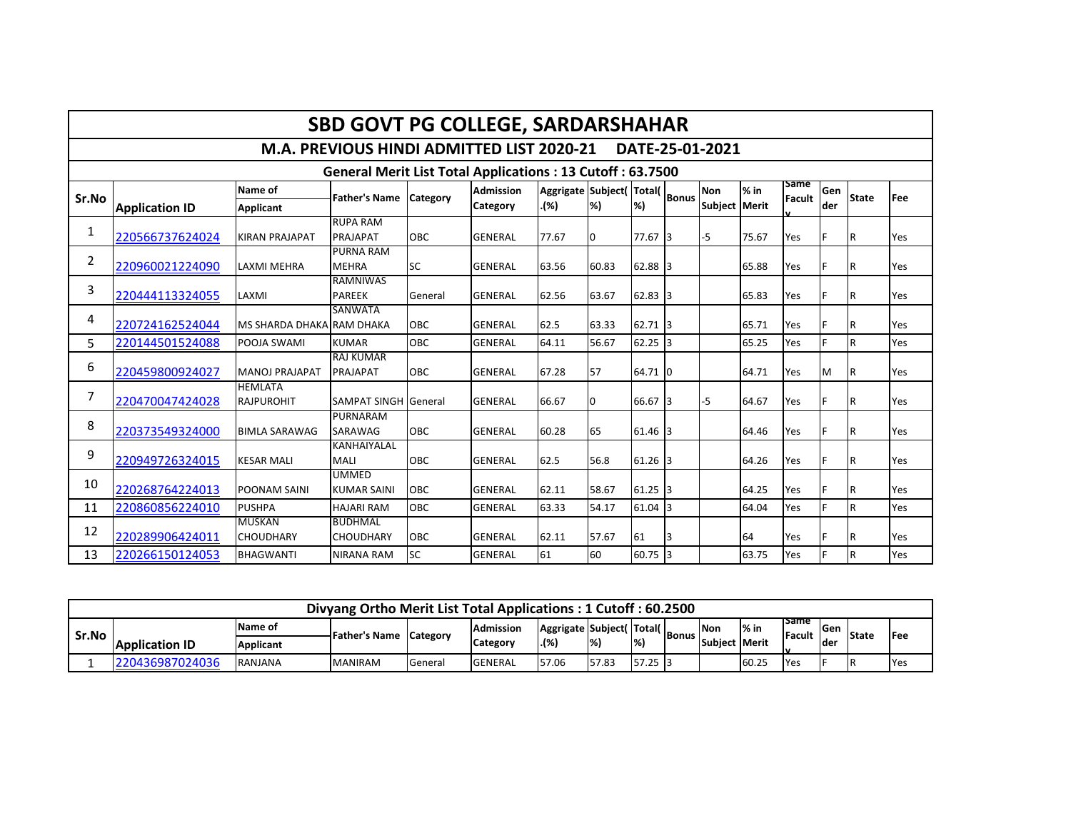| <b>SBD GOVT PG COLLEGE, SARDARSHAHAR</b> |                                                                  |                                     |                                           |            |                  |                               |       |           |    |                 |        |                       |      |              |            |
|------------------------------------------|------------------------------------------------------------------|-------------------------------------|-------------------------------------------|------------|------------------|-------------------------------|-------|-----------|----|-----------------|--------|-----------------------|------|--------------|------------|
|                                          |                                                                  |                                     | M.A. PREVIOUS HINDI ADMITTED LIST 2020-21 |            |                  |                               |       |           |    | DATE-25-01-2021 |        |                       |      |              |            |
|                                          | <b>General Merit List Total Applications: 13 Cutoff: 63.7500</b> |                                     |                                           |            |                  |                               |       |           |    |                 |        |                       |      |              |            |
| Sr.No                                    |                                                                  | Name of                             | <b>Father's Name</b>                      | Category   | <b>Admission</b> | Aggrigate Subject(Total(Bonus |       |           |    | <b>Non</b>      | $%$ in | <b>Same</b><br>Facult | Gen  | <b>State</b> | <b>Fee</b> |
|                                          | <b>Application ID</b>                                            | <b>Applicant</b>                    |                                           |            | <b>Category</b>  | .(%)                          | %     | %         |    | Subject Merit   |        |                       | lder |              |            |
| 1                                        | 220566737624024                                                  | <b>KIRAN PRAJAPAT</b>               | <b>RUPA RAM</b><br>PRAJAPAT               | OBC        | <b>GENERAL</b>   | 77.67                         | 0     | 77.67 3   |    | -5              | 75.67  | Yes                   |      | IR.          | Yes        |
| 2                                        | 220960021224090                                                  | <b>LAXMI MEHRA</b>                  | <b>PURNA RAM</b><br><b>MEHRA</b>          | <b>SC</b>  | <b>GENERAL</b>   | 63.56                         | 60.83 | 62.88 3   |    |                 | 65.88  | Yes                   |      | IR.          | Yes        |
| 3                                        | 220444113324055                                                  | LAXMI                               | <b>RAMNIWAS</b><br><b>PAREEK</b>          | General    | <b>GENERAL</b>   | 62.56                         | 63.67 | $62.83$ 3 |    |                 | 65.83  | Yes                   |      | IR.          | Yes        |
| 4                                        | 220724162524044                                                  | MS SHARDA DHAKA RAM DHAKA           | <b>SANWATA</b>                            | OBC        | <b>GENERAL</b>   | 62.5                          | 63.33 | 62.71     | I3 |                 | 65.71  | Yes                   |      | IR.          | Yes        |
| 5                                        | 220144501524088                                                  | POOJA SWAMI                         | <b>KUMAR</b>                              | <b>OBC</b> | <b>GENERAL</b>   | 64.11                         | 56.67 | 62.25     | Iз |                 | 65.25  | Yes                   |      | lR.          | Yes        |
| 6                                        | 220459800924027                                                  | <b>MANOJ PRAJAPAT</b>               | <b>RAJ KUMAR</b><br><b>PRAJAPAT</b>       | OBC        | <b>GENERAL</b>   | 67.28                         | 57    | 64.71 0   |    |                 | 64.71  | Yes                   | M    | IR.          | Yes        |
| $\overline{7}$                           | 220470047424028                                                  | <b>HEMLATA</b><br><b>RAJPUROHIT</b> | <b>SAMPAT SINGH General</b>               |            | <b>GENERAL</b>   | 66.67                         | 0     | 66.67 3   |    | $-5$            | 64.67  | Yes                   |      | IR.          | Yes        |
| 8                                        | 220373549324000                                                  | <b>BIMLA SARAWAG</b>                | <b>PURNARAM</b><br>SARAWAG                | OBC        | <b>GENERAL</b>   | 60.28                         | 65    | 61.46 3   |    |                 | 64.46  | Yes                   |      | IR.          | Yes        |
| 9                                        | 220949726324015                                                  | <b>KESAR MALI</b>                   | KANHAIYALAL<br>MALI                       | OBC        | <b>GENERAL</b>   | 62.5                          | 56.8  | 61.26 3   |    |                 | 64.26  | Yes                   |      | IR.          | Yes        |
| 10                                       | 220268764224013                                                  | <b>POONAM SAINI</b>                 | <b>UMMED</b><br><b>KUMAR SAINI</b>        | OBC        | <b>GENERAL</b>   | 62.11                         | 58.67 | $61.25$ 3 |    |                 | 64.25  | Yes                   |      | IR.          | Yes        |
| 11                                       | 220860856224010                                                  | <b>PUSHPA</b>                       | <b>HAJARI RAM</b>                         | OBC        | <b>GENERAL</b>   | 63.33                         | 54.17 | 61.04     | 3  |                 | 64.04  | Yes                   |      | lR.          | Yes        |
| 12                                       | 220289906424011                                                  | <b>MUSKAN</b><br><b>CHOUDHARY</b>   | <b>BUDHMAL</b><br><b>CHOUDHARY</b>        | OBC        | <b>GENERAL</b>   | 62.11                         | 57.67 | 61        | 3  |                 | 64     | Yes                   |      | IR.          | Yes        |
| 13                                       | 220266150124053                                                  | <b>BHAGWANTI</b>                    | <b>NIRANA RAM</b>                         | <b>SC</b>  | <b>GENERAL</b>   | 61                            | 60    | $60.75$ 3 |    |                 | 63.75  | Yes                   |      | lR.          | Yes        |

| Divyang Ortho Merit List Total Applications: 1 Cutoff: 60.2500 |                       |                  |                |                                |                  |                                     |                           |               |                |               |        |                                |      |       |             |
|----------------------------------------------------------------|-----------------------|------------------|----------------|--------------------------------|------------------|-------------------------------------|---------------------------|---------------|----------------|---------------|--------|--------------------------------|------|-------|-------------|
| Sr.No                                                          |                       | Name of          |                | <b>1Father's Name Category</b> | <b>Admission</b> | Aggrigate   Subject (   Total (   _ |                           |               | <b>'IBonus</b> | <b>Non</b>    | $%$ in | <b>TSame</b><br><b>IFacult</b> | lGen | State | <b>IFee</b> |
|                                                                | <b>Application ID</b> | <b>Applicant</b> |                |                                | <b>Category</b>  | . (%)                               | $\left  \% \right\rangle$ | $\frac{1}{2}$ |                | Subiect Merit |        | w                              | lder |       |             |
|                                                                | 220436987024036       | RANJANA          | <b>MANIRAM</b> | General                        | <b>GENERAL</b>   | 57.06                               | 57.83                     | 57.25 3       |                |               | 60.25  | <b>Yes</b>                     |      | 1R    | <b>Yes</b>  |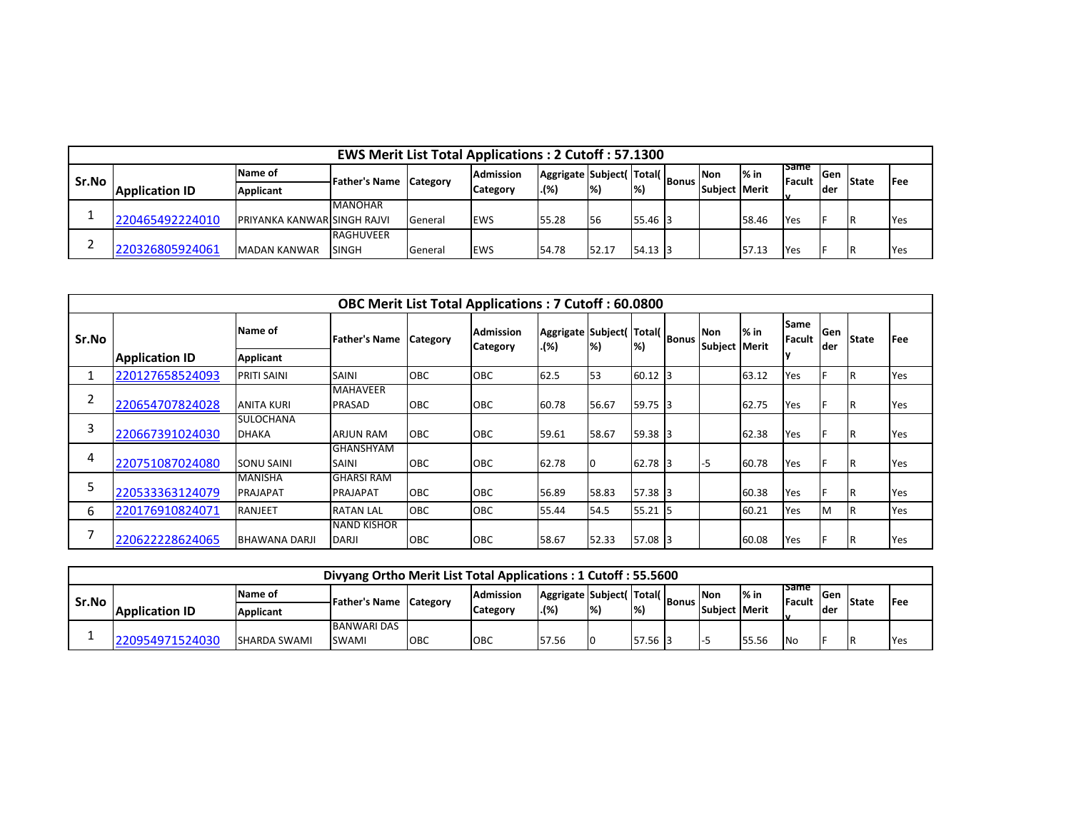|         | <b>EWS Merit List Total Applications: 2 Cutoff: 57.1300</b> |                                    |                               |         |                  |                                |                           |               |  |               |        |                                |      |              |             |
|---------|-------------------------------------------------------------|------------------------------------|-------------------------------|---------|------------------|--------------------------------|---------------------------|---------------|--|---------------|--------|--------------------------------|------|--------------|-------------|
| l Sr.No |                                                             | Name of                            | <b>Father's Name Category</b> |         | <b>Admission</b> | Aggrigate Subject(Total(Bonus) |                           |               |  | lNon          | $%$ in | <b>ISame</b><br><b>IFacult</b> | lGen | <b>State</b> | <b>IFee</b> |
|         | <b>Application ID</b>                                       | Applicant                          |                               |         | Category         | .(%)                           | $\left  \% \right\rangle$ | $\mathcal{H}$ |  | Subiect Merit |        | Iv                             | lder |              |             |
|         |                                                             |                                    | <b>MANOHAR</b>                |         |                  |                                |                           |               |  |               |        |                                |      |              |             |
|         | 220465492224010                                             | <b>PRIYANKA KANWARISINGH RAJVI</b> |                               | General | <b>EWS</b>       | 55.28                          | <b>I</b> 56               | 55.46 3       |  |               | 58.46  | <b>Yes</b>                     |      | IR           | <b>Yes</b>  |
|         |                                                             |                                    | <b>RAGHUVEER</b>              |         |                  |                                |                           |               |  |               |        |                                |      |              |             |
|         | 220326805924061                                             | <b>MADAN KANWAR</b>                | <b>SINGH</b>                  | Genera  | <b>IEWS</b>      | 54.78                          | 52.17                     | 54.13 3       |  |               | 57.13  | <b>IYes</b>                    |      | 1R           | Yes         |

|       | <b>OBC Merit List Total Applications: 7 Cutoff: 60.0800</b> |                                   |                                      |            |                                      |                                            |                          |           |   |                             |        |                               |              |              |             |
|-------|-------------------------------------------------------------|-----------------------------------|--------------------------------------|------------|--------------------------------------|--------------------------------------------|--------------------------|-----------|---|-----------------------------|--------|-------------------------------|--------------|--------------|-------------|
| Sr.No |                                                             | Name of                           | <b>Father's Name</b>                 | Category   | <b>Admission</b><br><b>ICategory</b> | Aggrigate Subject( Total( Bonus  '<br>.(%) | $\left  \%\right\rangle$ | %         |   | <b>Non</b><br>Subject Merit | $%$ in | <b>Same</b><br><b>IFacult</b> | lGen<br>lder | <b>State</b> | <b>IFee</b> |
|       | <b>Application ID</b>                                       | Applicant                         |                                      |            |                                      |                                            |                          |           |   |                             |        |                               |              |              |             |
|       | 220127658524093                                             | <b>PRITI SAINI</b>                | <b>SAINI</b>                         | <b>OBC</b> | <b>OBC</b>                           | 62.5                                       | 53                       | 60.12     |   |                             | 63.12  | Yes                           |              | IR.          | Yes         |
|       | 220654707824028                                             | <b>ANITA KURI</b>                 | <b>MAHAVEER</b><br><b>PRASAD</b>     | <b>OBC</b> | <b>OBC</b>                           | 60.78                                      | 56.67                    | 59.75 3   |   |                             | 62.75  | Yes                           |              | IR.          | Yes         |
| 3     | 220667391024030                                             | <b>SULOCHANA</b><br><b>DHAKA</b>  | <b>ARJUN RAM</b>                     | <b>OBC</b> | <b>OBC</b>                           | 59.61                                      | 58.67                    | 59.38 3   |   |                             | 62.38  | Yes                           |              | IR.          | Yes         |
| 4     | 220751087024080                                             | <b>SONU SAINI</b>                 | <b>GHANSHYAM</b><br><b>SAINI</b>     | <b>OBC</b> | <b>OBC</b>                           | 62.78                                      |                          | 62.78 3   |   | -5                          | 60.78  | Yes                           |              | IR.          | Yes         |
|       | 220533363124079                                             | <b>MANISHA</b><br><b>PRAJAPAT</b> | <b>GHARSI RAM</b><br><b>PRAJAPAT</b> | <b>OBC</b> | <b>OBC</b>                           | 56.89                                      | 58.83                    | $57.38$ 3 |   |                             | 60.38  | <b>Yes</b>                    |              | IR.          | Yes         |
| 6     | 220176910824071                                             | <b>RANJEET</b>                    | <b>RATAN LAL</b>                     | <b>OBC</b> | OBC                                  | 55.44                                      | 54.5                     | 55.21     | ь |                             | 60.21  | Yes                           | M            | IR.          | Yes         |
|       | 220622228624065                                             | <b>BHAWANA DARJI</b>              | <b>NAND KISHOR</b><br><b>DARJI</b>   | <b>OBC</b> | <b>OBC</b>                           | 58.67                                      | 52.33                    | 57.08 3   |   |                             | 60.08  | Yes                           |              | IR.          | Yes         |

|       | Divyang Ortho Merit List Total Applications: 1 Cutoff: 55.5600 |                     |                                    |     |                  |       |                                |                 |                |               |        |                               |      |              |             |
|-------|----------------------------------------------------------------|---------------------|------------------------------------|-----|------------------|-------|--------------------------------|-----------------|----------------|---------------|--------|-------------------------------|------|--------------|-------------|
| Sr.No |                                                                | IName of            |                                    |     | <b>Admission</b> |       | Aggrigate   Subject (Total ( ) |                 | <b>'IBonus</b> | <b>INon</b>   | $%$ in | <b>Isame</b><br><b>Facult</b> | lGen | <b>State</b> | <b>IFee</b> |
|       | <b>Application ID</b>                                          | Applicant           | <b>Father's Name Category</b>      |     | <b>Category</b>  | . (%) | $\left  \% \right\rangle$      | $\mathcal{V}_0$ |                | Subiect Merit |        |                               | lder |              |             |
|       | 220954971524030                                                | <b>SHARDA SWAMI</b> | <b>BANWARI DAS</b><br><b>SWAMI</b> | OBC | OBC              | 57.56 |                                | 57.56 3         |                |               | 55.56  | .No                           | IF   |              | <b>Yes</b>  |